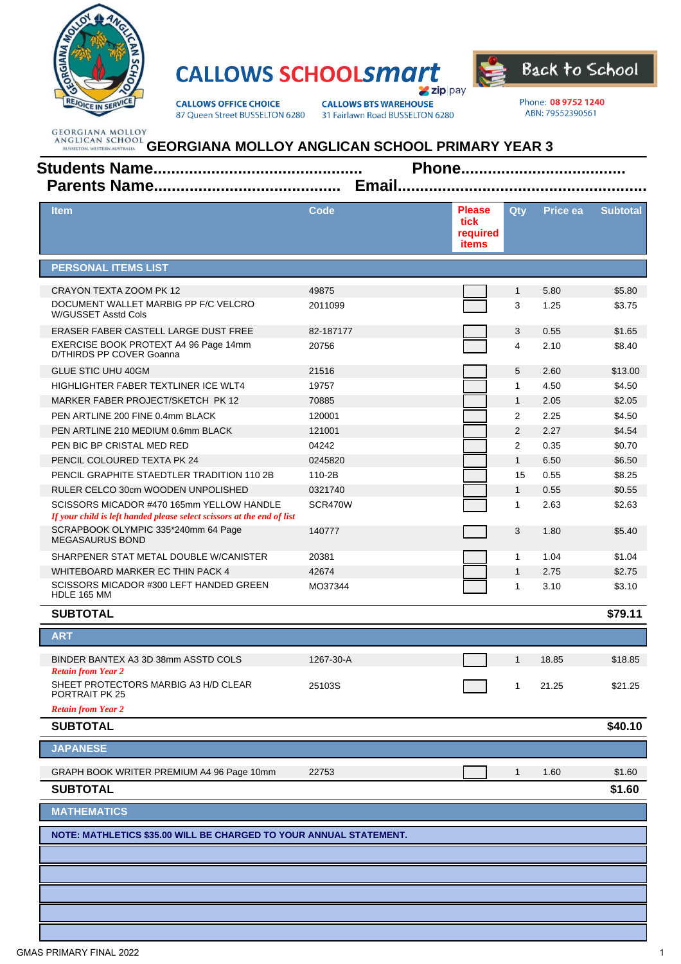

## **CALLOWS SCHOOLSMATT Zip** pay



**CALLOWS OFFICE CHOICE** 87 Queen Street BUSSELTON 6280 **CALLOWS BTS WAREHOUSE** 31 Fairlawn Road BUSSELTON 6280 Phone: 08 9752 1240 ABN: 79552390561

| <b>Item</b>                                                                                                         | <b>Code</b> | <b>Please</b><br>tick<br>required<br><b>items</b> | Qty            | Price ea | <b>Subtotal</b> |  |  |  |
|---------------------------------------------------------------------------------------------------------------------|-------------|---------------------------------------------------|----------------|----------|-----------------|--|--|--|
| <b>PERSONAL ITEMS LIST</b>                                                                                          |             |                                                   |                |          |                 |  |  |  |
| CRAYON TEXTA ZOOM PK 12                                                                                             | 49875       |                                                   | 1              | 5.80     | \$5.80          |  |  |  |
| DOCUMENT WALLET MARBIG PP F/C VELCRO<br>W/GUSSET Asstd Cols                                                         | 2011099     |                                                   | 3              | 1.25     | \$3.75          |  |  |  |
| ERASER FABER CASTELL LARGE DUST FREE                                                                                | 82-187177   |                                                   | 3              | 0.55     | \$1.65          |  |  |  |
| EXERCISE BOOK PROTEXT A4 96 Page 14mm<br>D/THIRDS PP COVER Goanna                                                   | 20756       |                                                   | 4              | 2.10     | \$8.40          |  |  |  |
| <b>GLUE STIC UHU 40GM</b>                                                                                           | 21516       |                                                   | 5              | 2.60     | \$13.00         |  |  |  |
| HIGHLIGHTER FABER TEXTLINER ICE WLT4                                                                                | 19757       |                                                   | $\mathbf{1}$   | 4.50     | \$4.50          |  |  |  |
| MARKER FABER PROJECT/SKETCH PK 12                                                                                   | 70885       |                                                   | $\mathbf{1}$   | 2.05     | \$2.05          |  |  |  |
| PEN ARTLINE 200 FINE 0.4mm BLACK                                                                                    | 120001      |                                                   | $\overline{2}$ | 2.25     | \$4.50          |  |  |  |
| PEN ARTLINE 210 MEDIUM 0.6mm BLACK                                                                                  | 121001      |                                                   | 2              | 2.27     | \$4.54          |  |  |  |
| PEN BIC BP CRISTAL MED RED                                                                                          | 04242       |                                                   | $\overline{2}$ | 0.35     | \$0.70          |  |  |  |
| PENCIL COLOURED TEXTA PK 24                                                                                         | 0245820     |                                                   | $\mathbf{1}$   | 6.50     | \$6.50          |  |  |  |
| PENCIL GRAPHITE STAEDTLER TRADITION 110 2B                                                                          | 110-2B      |                                                   | 15             | 0.55     | \$8.25          |  |  |  |
| RULER CELCO 30cm WOODEN UNPOLISHED                                                                                  | 0321740     |                                                   | $\mathbf{1}$   | 0.55     | \$0.55          |  |  |  |
| SCISSORS MICADOR #470 165mm YELLOW HANDLE<br>If your child is left handed please select scissors at the end of list | SCR470W     |                                                   | $\mathbf{1}$   | 2.63     | \$2.63          |  |  |  |
| SCRAPBOOK OLYMPIC 335*240mm 64 Page<br><b>MEGASAURUS BOND</b>                                                       | 140777      |                                                   | 3              | 1.80     | \$5.40          |  |  |  |
| SHARPENER STAT METAL DOUBLE W/CANISTER                                                                              | 20381       |                                                   | $\mathbf{1}$   | 1.04     | \$1.04          |  |  |  |
| WHITEBOARD MARKER EC THIN PACK 4                                                                                    | 42674       |                                                   | $\mathbf{1}$   | 2.75     | \$2.75          |  |  |  |
| SCISSORS MICADOR #300 LEFT HANDED GREEN<br>HDLE 165 MM                                                              | MO37344     |                                                   | 1              | 3.10     | \$3.10          |  |  |  |
| <b>SUBTOTAL</b>                                                                                                     |             |                                                   |                |          | \$79.11         |  |  |  |
| <b>ART</b>                                                                                                          |             |                                                   |                |          |                 |  |  |  |
| BINDER BANTEX A3 3D 38mm ASSTD COLS                                                                                 | 1267-30-A   |                                                   | $\mathbf{1}$   | 18.85    | \$18.85         |  |  |  |
| <b>Retain from Year 2</b><br>SHEET PROTECTORS MARBIG A3 H/D CLEAR<br>PORTRAIT PK 25                                 | 25103S      |                                                   | 1              | 21.25    | \$21.25         |  |  |  |
| <b>Retain from Year 2</b>                                                                                           |             |                                                   |                |          |                 |  |  |  |
| <b>SUBTOTAL</b>                                                                                                     |             |                                                   |                |          | \$40.10         |  |  |  |
| <b>JAPANESE</b>                                                                                                     |             |                                                   |                |          |                 |  |  |  |
| GRAPH BOOK WRITER PREMIUM A4 96 Page 10mm                                                                           | 22753       |                                                   | 1              | 1.60     | \$1.60          |  |  |  |
| <b>SUBTOTAL</b>                                                                                                     |             |                                                   |                |          | \$1.60          |  |  |  |
| <b>MATHEMATICS</b>                                                                                                  |             |                                                   |                |          |                 |  |  |  |
| NOTE: MATHLETICS \$35.00 WILL BE CHARGED TO YOUR ANNUAL STATEMENT.                                                  |             |                                                   |                |          |                 |  |  |  |
|                                                                                                                     |             |                                                   |                |          |                 |  |  |  |